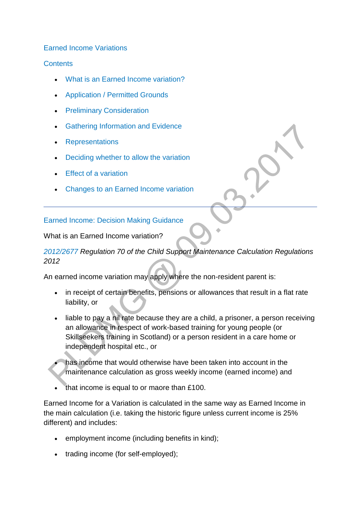#### [Earned Income Variations](http://np-cmg-sharepoint.link2.gpn.gov.uk/sites/policy-law-and-decision-making-guidance/Pages/Variations/Additional%20Income/Earned-Income.aspx)

#### **[Contents](http://np-cmg-sharepoint.link2.gpn.gov.uk/sites/policy-law-and-decision-making-guidance/Pages/Variations/Additional%20Income/Earned-Income.aspx)**

- [What is an Earned Income variation?](http://np-cmg-sharepoint.link2.gpn.gov.uk/sites/policy-law-and-decision-making-guidance/Pages/Variations/Additional%20Income/Earned-Income.aspx#earnedincome)
- [Application / Permitted Grounds](http://np-cmg-sharepoint.link2.gpn.gov.uk/sites/policy-law-and-decision-making-guidance/Pages/Variations/Additional%20Income/Earned-Income.aspx#EIApplication)
- **•** [Preliminary Consideration](http://np-cmg-sharepoint.link2.gpn.gov.uk/sites/policy-law-and-decision-making-guidance/Pages/Variations/Additional%20Income/Earned-Income.aspx#EIPreliminary)
- **[Gathering Information and Evidence](http://np-cmg-sharepoint.link2.gpn.gov.uk/sites/policy-law-and-decision-making-guidance/Pages/Variations/Additional%20Income/Earned-Income.aspx#EIEvidence)**
- [Representations](http://np-cmg-sharepoint.link2.gpn.gov.uk/sites/policy-law-and-decision-making-guidance/Pages/Variations/Additional%20Income/Earned-Income.aspx#EIRepresentations)
- [Deciding whether to allow the variation](http://np-cmg-sharepoint.link2.gpn.gov.uk/sites/policy-law-and-decision-making-guidance/Pages/Variations/Additional%20Income/Earned-Income.aspx#EIAllow)
- [Effect of a variation](http://np-cmg-sharepoint.link2.gpn.gov.uk/sites/policy-law-and-decision-making-guidance/Pages/Variations/Additional%20Income/Earned-Income.aspx#EIEffect)
- [Changes to an Earned Income variation](http://np-cmg-sharepoint.link2.gpn.gov.uk/sites/policy-law-and-decision-making-guidance/Pages/Variations/Additional%20Income/Earned-Income.aspx#EIChanges)

#### [Earned Income: Decision Making Guidance](http://np-cmg-sharepoint.link2.gpn.gov.uk/sites/policy-law-and-decision-making-guidance/Pages/Variations/Additional%20Income/Earned-Income.aspx)

#### What is an Earned Income variation?

# *[2012/2677 R](http://www.legislation.gov.uk/uksi/2012/2677)egulation 70 of the Child Support Maintenance Calculation Regulations 2012*

An earned income variation may apply where the non-resident parent is:

- in receipt of certain benefits, pensions or allowances that result in a flat rate liability, or
- liable to pay a nil rate because they are a child, a prisoner, a person receiving an allowance in respect of work-based training for young people (or Skillseekers training in Scotland) or a person resident in a care home or independent hospital etc., or
- has income that would otherwise have been taken into account in the maintenance calculation as gross weekly income (earned income) and
- that income is equal to or maore than £100.

Earned Income for a Variation is calculated in the same way as Earned Income in the main calculation (i.e. taking the historic figure unless current income is 25% different) and includes:

- employment income (including benefits in kind);
- trading income (for self-employed);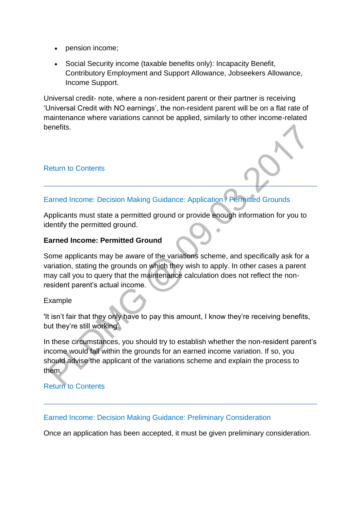- pension income;
- Social Security income (taxable benefits only): Incapacity Benefit, Contributory Employment and Support Allowance, Jobseekers Allowance, Income Support.

Universal credit- note, where a non-resident parent or their partner is receiving 'Universal Credit with NO earnings', the non-resident parent will be on a flat rate of maintenance where variations cannot be applied, similarly to other income-related benefits.

#### [Return to Contents](http://np-cmg-sharepoint.link2.gpn.gov.uk/sites/policy-law-and-decision-making-guidance/Pages/Variations/Additional%20Income/Earned-Income.aspx#DMGcontents)

# [Earned Income: Decision Making Guidance: Application / Permitted Grounds](http://np-cmg-sharepoint.link2.gpn.gov.uk/sites/policy-law-and-decision-making-guidance/Pages/Variations/Additional%20Income/Earned-Income.aspx)

Applicants must state a permitted ground or provide enough information for you to identify the permitted ground.

#### **Earned Income: Permitted Ground**

Some applicants may be aware of the variations scheme, and specifically ask for a variation, stating the grounds on which they wish to apply. In other cases a parent may call you to query that the maintenance calculation does not reflect the nonresident parent's actual income.

#### Example

'It isn't fair that they only have to pay this amount, I know they're receiving benefits, but they're still working'.

In these circumstances, you should try to establish whether the non-resident parent's income would fall within the grounds for an earned income variation. If so, you should advise the applicant of the variations scheme and explain the process to them.

### [Return to Contents](http://np-cmg-sharepoint.link2.gpn.gov.uk/sites/policy-law-and-decision-making-guidance/Pages/Variations/Additional%20Income/Earned-Income.aspx#DMGcontents)

#### [Earned Income: Decision Making Guidance: Preliminary Consideration](http://np-cmg-sharepoint.link2.gpn.gov.uk/sites/policy-law-and-decision-making-guidance/Pages/Variations/Additional%20Income/Earned-Income.aspx)

Once an application has been accepted, it must be given preliminary consideration.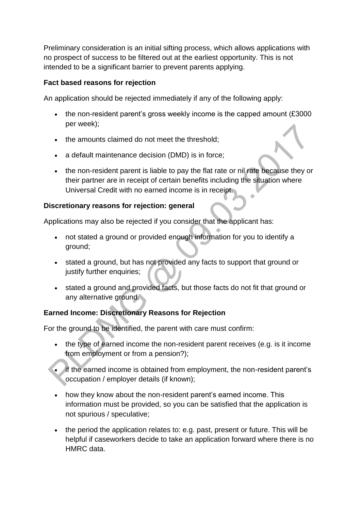Preliminary consideration is an initial sifting process, which allows applications with no prospect of success to be filtered out at the earliest opportunity. This is not intended to be a significant barrier to prevent parents applying.

### **Fact based reasons for rejection**

An application should be rejected immediately if any of the following apply:

- $\bullet$  the non-resident parent's gross weekly income is the capped amount (£3000) per week);
- the amounts claimed do not meet the threshold;
- a default maintenance decision (DMD) is in force;
- the non-resident parent is liable to pay the flat rate or nil rate because they or their partner are in receipt of certain benefits including the situation where Universal Credit with no earned income is in receipt.

### **Discretionary reasons for rejection: general**

Applications may also be rejected if you consider that the applicant has:

- not stated a ground or provided enough information for you to identify a ground;
- stated a ground, but has not provided any facts to support that ground or justify further enquiries;
- stated a ground and provided facts, but those facts do not fit that ground or any alternative ground.

# **Earned Income: Discretionary Reasons for Rejection**

For the ground to be identified, the parent with care must confirm:

- the type of earned income the non-resident parent receives (e.g. is it income from employment or from a pension?);
- if the earned income is obtained from employment, the non-resident parent's occupation / employer details (if known);
- how they know about the non-resident parent's earned income. This information must be provided, so you can be satisfied that the application is not spurious / speculative;
- the period the application relates to: e.g. past, present or future. This will be helpful if caseworkers decide to take an application forward where there is no HMRC data.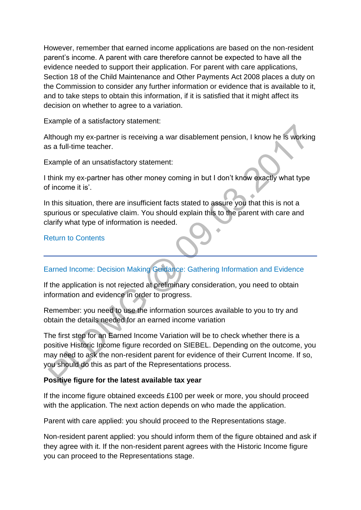However, remember that earned income applications are based on the non-resident parent's income. A parent with care therefore cannot be expected to have all the evidence needed to support their application. For parent with care applications, Section 18 of the Child Maintenance and Other Payments Act 2008 places a duty on the Commission to consider any further information or evidence that is available to it, and to take steps to obtain this information, if it is satisfied that it might affect its decision on whether to agree to a variation.

Example of a satisfactory statement:

Although my ex-partner is receiving a war disablement pension, I know he is working as a full-time teacher.

Example of an unsatisfactory statement:

I think my ex-partner has other money coming in but I don't know exactly what type of income it is'.

In this situation, there are insufficient facts stated to assure you that this is not a spurious or speculative claim. You should explain this to the parent with care and clarify what type of information is needed.

### [Return to Contents](http://np-cmg-sharepoint.link2.gpn.gov.uk/sites/policy-law-and-decision-making-guidance/Pages/Variations/Additional%20Income/Earned-Income.aspx#DMGcontents)

# [Earned Income: Decision Making Guidance: Gathering Information and Evidence](http://np-cmg-sharepoint.link2.gpn.gov.uk/sites/policy-law-and-decision-making-guidance/Pages/Variations/Additional%20Income/Earned-Income.aspx)

If the application is not rejected at preliminary consideration, you need to obtain information and evidence in order to progress.

Remember: you need to use the information sources available to you to try and obtain the details needed for an earned income variation

The first step for an Earned Income Variation will be to check whether there is a positive Historic Income figure recorded on SIEBEL. Depending on the outcome, you may need to ask the non-resident parent for evidence of their Current Income. If so, you should do this as part of the Representations process.

### **Positive figure for the latest available tax year**

If the income figure obtained exceeds £100 per week or more, you should proceed with the application. The next action depends on who made the application.

Parent with care applied: you should proceed to the Representations stage.

Non-resident parent applied: you should inform them of the figure obtained and ask if they agree with it. If the non-resident parent agrees with the Historic Income figure you can proceed to the Representations stage.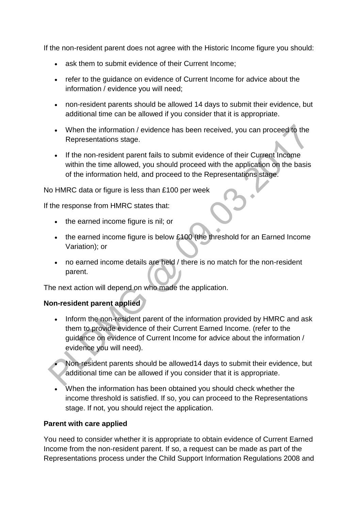If the non-resident parent does not agree with the Historic Income figure you should:

- ask them to submit evidence of their Current Income;
- refer to the guidance on evidence of Current Income for advice about the information / evidence you will need;
- non-resident parents should be allowed 14 days to submit their evidence, but additional time can be allowed if you consider that it is appropriate.
- When the information / evidence has been received, you can proceed to the Representations stage.
- If the non-resident parent fails to submit evidence of their Current Income within the time allowed, you should proceed with the application on the basis of the information held, and proceed to the Representations stage.

No HMRC data or figure is less than £100 per week

If the response from HMRC states that:

- the earned income figure is nil; or
- the earned income figure is below £100 (the threshold for an Earned Income Variation); or
- no earned income details are held / there is no match for the non-resident parent.

The next action will depend on who made the application.

### **Non-resident parent applied**

- Inform the non-resident parent of the information provided by HMRC and ask them to provide evidence of their Current Earned Income. (refer to the guidance on evidence of Current Income for advice about the information / evidence you will need).
- Non-resident parents should be allowed14 days to submit their evidence, but additional time can be allowed if you consider that it is appropriate.
- When the information has been obtained you should check whether the income threshold is satisfied. If so, you can proceed to the Representations stage. If not, you should reject the application.

### **Parent with care applied**

You need to consider whether it is appropriate to obtain evidence of Current Earned Income from the non-resident parent. If so, a request can be made as part of the Representations process under the Child Support Information Regulations 2008 and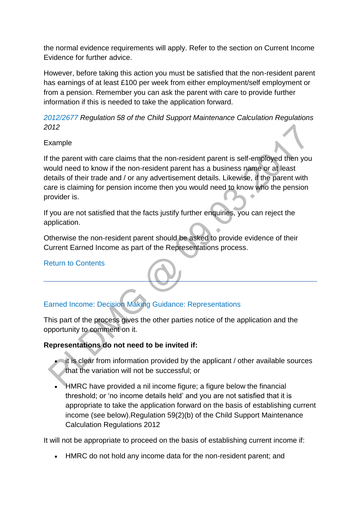the normal evidence requirements will apply. Refer to the section on Current Income Evidence for further advice.

However, before taking this action you must be satisfied that the non-resident parent has earnings of at least £100 per week from either employment/self employment or from a pension. Remember you can ask the parent with care to provide further information if this is needed to take the application forward.

*[2012/2677 R](http://www.legislation.gov.uk/uksi/2012/2677)egulation 58 of the Child Support Maintenance Calculation Regulations 2012*

Example

If the parent with care claims that the non-resident parent is self-employed then you would need to know if the non-resident parent has a business name or at least details of their trade and / or any advertisement details. Likewise, if the parent with care is claiming for pension income then you would need to know who the pension provider is.

If you are not satisfied that the facts justify further enquiries, you can reject the application.

Otherwise the non-resident parent should be asked to provide evidence of their Current Earned Income as part of the Representations process.

[Return to Contents](http://np-cmg-sharepoint.link2.gpn.gov.uk/sites/policy-law-and-decision-making-guidance/Pages/Variations/Additional%20Income/Earned-Income.aspx#DMGcontents)

# [Earned Income: Decision Making Guidance: Representations](http://np-cmg-sharepoint.link2.gpn.gov.uk/sites/policy-law-and-decision-making-guidance/Pages/Variations/Additional%20Income/Earned-Income.aspx)

This part of the process gives the other parties notice of the application and the opportunity to comment on it.

# **Representations do not need to be invited if:**

- it is clear from information provided by the applicant / other available sources that the variation will not be successful; or
- HMRC have provided a nil income figure; a figure below the financial threshold; or 'no income details held' and you are not satisfied that it is appropriate to take the application forward on the basis of establishing current income (see below).Regulation 59(2)(b) of the Child Support Maintenance Calculation Regulations 2012

It will not be appropriate to proceed on the basis of establishing current income if:

HMRC do not hold any income data for the non-resident parent; and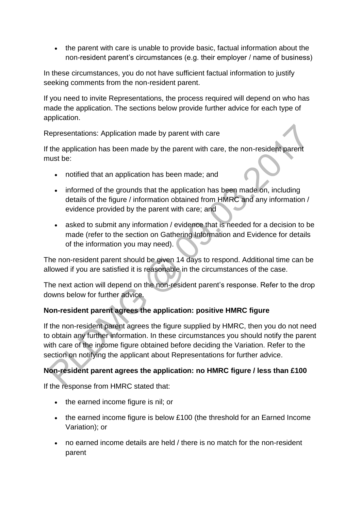• the parent with care is unable to provide basic, factual information about the non-resident parent's circumstances (e.g. their employer / name of business)

In these circumstances, you do not have sufficient factual information to justify seeking comments from the non-resident parent.

If you need to invite Representations, the process required will depend on who has made the application. The sections below provide further advice for each type of application.

Representations: Application made by parent with care

If the application has been made by the parent with care, the non-resident parent must be:

- notified that an application has been made; and
- informed of the grounds that the application has been made on, including details of the figure / information obtained from HMRC and any information / evidence provided by the parent with care; and
- asked to submit any information / evidence that is needed for a decision to be made (refer to the section on Gathering Information and Evidence for details of the information you may need).

The non-resident parent should be given 14 days to respond. Additional time can be allowed if you are satisfied it is reasonable in the circumstances of the case.

The next action will depend on the non-resident parent's response. Refer to the drop downs below for further advice.

# **Non-resident parent agrees the application: positive HMRC figure**

If the non-resident parent agrees the figure supplied by HMRC, then you do not need to obtain any further information. In these circumstances you should notify the parent with care of the income figure obtained before deciding the Variation. Refer to the section on notifying the applicant about Representations for further advice.

# **Non-resident parent agrees the application: no HMRC figure / less than £100**

If the response from HMRC stated that:

- the earned income figure is nil; or
- the earned income figure is below £100 (the threshold for an Earned Income Variation); or
- no earned income details are held / there is no match for the non-resident parent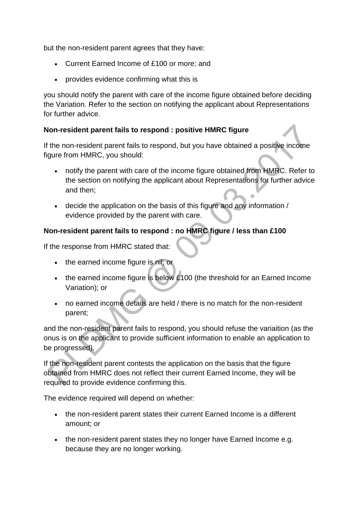but the non-resident parent agrees that they have:

- Current Earned Income of £100 or more; and
- provides evidence confirming what this is

you should notify the parent with care of the income figure obtained before deciding the Variation. Refer to the section on notifying the applicant about Representations for further advice.

### **Non-resident parent fails to respond : positive HMRC figure**

If the non-resident parent fails to respond, but you have obtained a positive income figure from HMRC, you should:

- notify the parent with care of the income figure obtained from HMRC. Refer to the section on notifying the applicant about Representations for further advice and then;
- decide the application on the basis of this figure and any information / evidence provided by the parent with care.

# **Non-resident parent fails to respond : no HMRC figure / less than £100**

If the response from HMRC stated that:

- the earned income figure is nil; or
- $\bullet$  the earned income figure is below £100 (the threshold for an Earned Income Variation); or
- no earned income details are held / there is no match for the non-resident parent;

and the non-resident parent fails to respond, you should refuse the variaition (as the onus is on the applicant to provide sufficient information to enable an application to be progressed).

If the non-resident parent contests the application on the basis that the figure obtained from HMRC does not reflect their current Earned Income, they will be required to provide evidence confirming this.

The evidence required will depend on whether:

- the non-resident parent states their current Earned Income is a different amount; or
- the non-resident parent states they no longer have Earned Income e.g. because they are no longer working.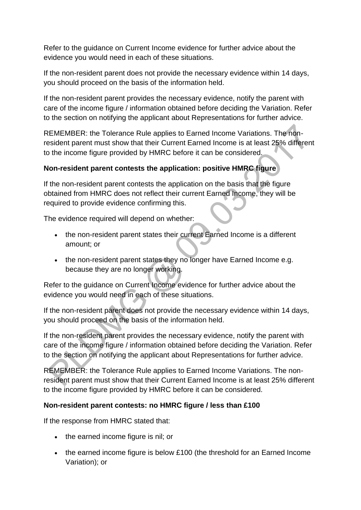Refer to the guidance on Current Income evidence for further advice about the evidence you would need in each of these situations.

If the non-resident parent does not provide the necessary evidence within 14 days, you should proceed on the basis of the information held.

If the non-resident parent provides the necessary evidence, notify the parent with care of the income figure / information obtained before deciding the Variation. Refer to the section on notifying the applicant about Representations for further advice.

REMEMBER: the Tolerance Rule applies to Earned Income Variations. The nonresident parent must show that their Current Earned Income is at least 25% different to the income figure provided by HMRC before it can be considered.

# **Non-resident parent contests the application: positive HMRC figure**

If the non-resident parent contests the application on the basis that the figure obtained from HMRC does not reflect their current Earned Income, they will be required to provide evidence confirming this.

The evidence required will depend on whether:

- the non-resident parent states their current Earned Income is a different amount; or
- the non-resident parent states they no longer have Earned Income e.g. because they are no longer working.

Refer to the guidance on Current Income evidence for further advice about the evidence you would need in each of these situations.

If the non-resident parent does not provide the necessary evidence within 14 days, you should proceed on the basis of the information held.

If the non-resident parent provides the necessary evidence, notify the parent with care of the income figure / information obtained before deciding the Variation. Refer to the section on notifying the applicant about Representations for further advice.

REMEMBER: the Tolerance Rule applies to Earned Income Variations. The nonresident parent must show that their Current Earned Income is at least 25% different to the income figure provided by HMRC before it can be considered.

### **Non-resident parent contests: no HMRC figure / less than £100**

If the response from HMRC stated that:

- the earned income figure is nil; or
- the earned income figure is below £100 (the threshold for an Earned Income Variation); or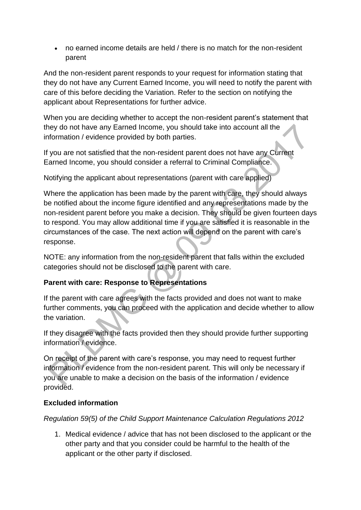no earned income details are held / there is no match for the non-resident parent

And the non-resident parent responds to your request for information stating that they do not have any Current Earned Income, you will need to notify the parent with care of this before deciding the Variation. Refer to the section on notifying the applicant about Representations for further advice.

When you are deciding whether to accept the non-resident parent's statement that they do not have any Earned Income, you should take into account all the information / evidence provided by both parties.

If you are not satisfied that the non-resident parent does not have any Current Earned Income, you should consider a referral to Criminal Compliance.

Notifying the applicant about representations (parent with care applied)

Where the application has been made by the parent with care, they should always be notified about the income figure identified and any representations made by the non-resident parent before you make a decision. They should be given fourteen days to respond. You may allow additional time if you are satisfied it is reasonable in the circumstances of the case. The next action will depend on the parent with care's response.

NOTE: any information from the non-resident parent that falls within the excluded categories should not be disclosed to the parent with care.

# **Parent with care: Response to Representations**

If the parent with care agrees with the facts provided and does not want to make further comments, you can proceed with the application and decide whether to allow the variation.

If they disagree with the facts provided then they should provide further supporting information / evidence.

On receipt of the parent with care's response, you may need to request further information / evidence from the non-resident parent. This will only be necessary if you are unable to make a decision on the basis of the information / evidence provided.

# **Excluded information**

*Regulation 59(5) of the Child Support Maintenance Calculation Regulations 2012* 

1. Medical evidence / advice that has not been disclosed to the applicant or the other party and that you consider could be harmful to the health of the applicant or the other party if disclosed.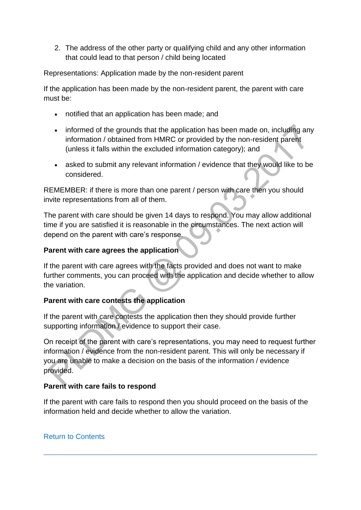2. The address of the other party or qualifying child and any other information that could lead to that person / child being located

Representations: Application made by the non-resident parent

If the application has been made by the non-resident parent, the parent with care must be:

- notified that an application has been made; and
- informed of the grounds that the application has been made on, including any information / obtained from HMRC or provided by the non-resident parent (unless it falls within the excluded information category); and
- asked to submit any relevant information / evidence that they would like to be considered.

REMEMBER: if there is more than one parent / person with care then you should invite representations from all of them.

The parent with care should be given 14 days to respond. You may allow additional time if you are satisfied it is reasonable in the circumstances. The next action will depend on the parent with care's response.

### **Parent with care agrees the application**

If the parent with care agrees with the facts provided and does not want to make further comments, you can proceed with the application and decide whether to allow the variation.

### **Parent with care contests the application**

If the parent with care contests the application then they should provide further supporting information / evidence to support their case.

On receipt of the parent with care's representations, you may need to request further information / evidence from the non-resident parent. This will only be necessary if you are unable to make a decision on the basis of the information / evidence provided.

### **Parent with care fails to respond**

If the parent with care fails to respond then you should proceed on the basis of the information held and decide whether to allow the variation.

### [Return to Contents](http://np-cmg-sharepoint.link2.gpn.gov.uk/sites/policy-law-and-decision-making-guidance/Pages/Variations/Additional%20Income/Earned-Income.aspx#DMGcontents)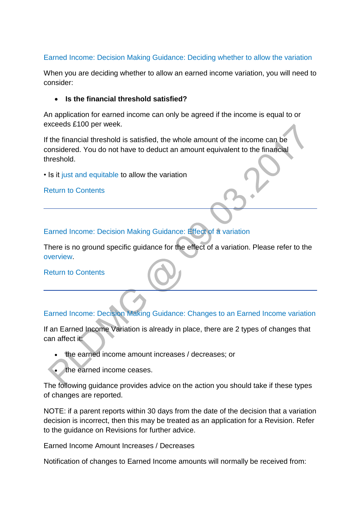### [Earned Income: Decision Making Guidance: Deciding whether to allow the variation](http://np-cmg-sharepoint.link2.gpn.gov.uk/sites/policy-law-and-decision-making-guidance/Pages/Variations/Additional%20Income/Earned-Income.aspx)

When you are deciding whether to allow an earned income variation, you will need to consider:

#### **Is the financial threshold satisfied?**

An application for earned income can only be agreed if the income is equal to or exceeds £100 per week.

If the financial threshold is satisfied, the whole amount of the income can be considered. You do not have to deduct an amount equivalent to the financial threshold.

• Is it [just and equitable](http://np-cmg-sharepoint.link2.gpn.gov.uk/sites/policy-law-and-decision-making-guidance/Pages/Variations/Additional%20Income/Earned-Income.aspx#DMGcontents) to allow the variation

[Return to Contents](http://np-cmg-sharepoint.link2.gpn.gov.uk/sites/policy-law-and-decision-making-guidance/Pages/Variations/Additional%20Income/Earned-Income.aspx#DMGcontents)

[Earned Income: Decision Making Guidance: Effect of a variation](http://np-cmg-sharepoint.link2.gpn.gov.uk/sites/policy-law-and-decision-making-guidance/Pages/Variations/Additional%20Income/Earned-Income.aspx)

There is no ground specific guidance for the effect of a variation. Please refer to the [overview.](http://np-cmg-sharepoint.link2.gpn.gov.uk/sites/policy-law-and-decision-making-guidance/Pages/Variations/Additional%20Income/Earned-Income.aspx#DMGcontents)

[Return to Contents](http://np-cmg-sharepoint.link2.gpn.gov.uk/sites/policy-law-and-decision-making-guidance/Pages/Variations/Additional%20Income/Earned-Income.aspx#DMGcontents)

# [Earned Income: Decision Making Guidance: Changes to an Earned Income variation](http://np-cmg-sharepoint.link2.gpn.gov.uk/sites/policy-law-and-decision-making-guidance/Pages/Variations/Additional%20Income/Earned-Income.aspx)

If an Earned Income Variation is already in place, there are 2 types of changes that can affect it:

- the earned income amount increases / decreases; or
- the earned income ceases.

The following guidance provides advice on the action you should take if these types of changes are reported.

NOTE: if a parent reports within 30 days from the date of the decision that a variation decision is incorrect, then this may be treated as an application for a Revision. Refer to the guidance on Revisions for further advice.

Earned Income Amount Increases / Decreases

Notification of changes to Earned Income amounts will normally be received from: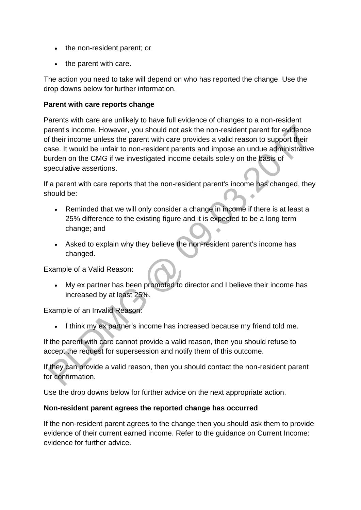- the non-resident parent; or
- the parent with care.

The action you need to take will depend on who has reported the change. Use the drop downs below for further information.

#### **Parent with care reports change**

Parents with care are unlikely to have full evidence of changes to a non-resident parent's income. However, you should not ask the non-resident parent for evidence of their income unless the parent with care provides a valid reason to support their case. It would be unfair to non-resident parents and impose an undue administrative burden on the CMG if we investigated income details solely on the basis of speculative assertions.

If a parent with care reports that the non-resident parent's income has changed, they should be:

- Reminded that we will only consider a change in income if there is at least a 25% difference to the existing figure and it is expected to be a long term change; and
- Asked to explain why they believe the non-resident parent's income has changed.

Example of a Valid Reason:

 My ex partner has been promoted to director and I believe their income has increased by at least 25%.

Example of an Invalid Reason:

I think my ex partner's income has increased because my friend told me.

If the parent with care cannot provide a valid reason, then you should refuse to accept the request for supersession and notify them of this outcome.

If they can provide a valid reason, then you should contact the non-resident parent for confirmation.

Use the drop downs below for further advice on the next appropriate action.

#### **Non-resident parent agrees the reported change has occurred**

If the non-resident parent agrees to the change then you should ask them to provide evidence of their current earned income. Refer to the guidance on Current Income: evidence for further advice.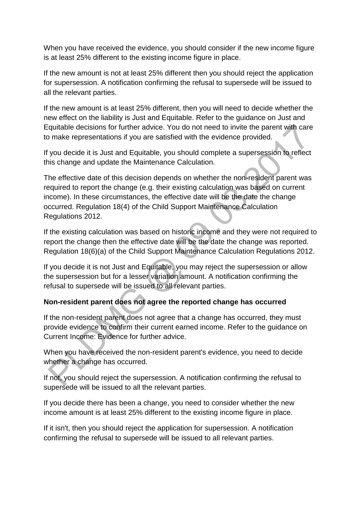When you have received the evidence, you should consider if the new income figure is at least 25% different to the existing income figure in place.

If the new amount is not at least 25% different then you should reject the application for supersession. A notification confirming the refusal to supersede will be issued to all the relevant parties.

If the new amount is at least 25% different, then you will need to decide whether the new effect on the liability is Just and Equitable. Refer to the guidance on Just and Equitable decisions for further advice. You do not need to invite the parent with care to make representations if you are satisfied with the evidence provided.

If you decide it is Just and Equitable, you should complete a supersession to reflect this change and update the Maintenance Calculation.

The effective date of this decision depends on whether the non-resident parent was required to report the change (e.g. their existing calculation was based on current income). In these circumstances, the effective date will be the date the change occurred. Regulation 18(4) of the Child Support Maintenance Calculation Regulations 2012.

If the existing calculation was based on historic income and they were not required to report the change then the effective date will be the date the change was reported. Regulation 18(6)(a) of the Child Support Maintenance Calculation Regulations 2012.

If you decide it is not Just and Equitable, you may reject the supersession or allow the supersession but for a lesser variation amount. A notification confirming the refusal to supersede will be issued to all relevant parties.

### **Non-resident parent does not agree the reported change has occurred**

If the non-resident parent does not agree that a change has occurred, they must provide evidence to confirm their current earned income. Refer to the guidance on Current Income: Evidence for further advice.

When you have received the non-resident parent's evidence, you need to decide whether a change has occurred.

If not, you should reject the supersession. A notification confirming the refusal to supersede will be issued to all the relevant parties.

If you decide there has been a change, you need to consider whether the new income amount is at least 25% different to the existing income figure in place.

If it isn't, then you should reject the application for supersession. A notification confirming the refusal to supersede will be issued to all relevant parties.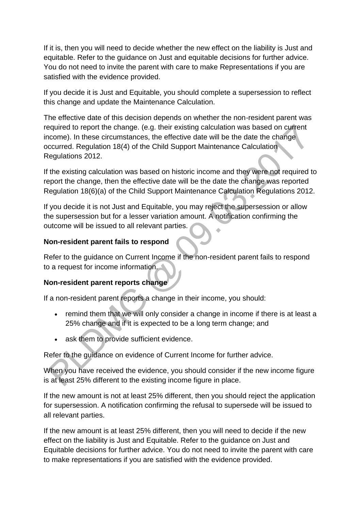If it is, then you will need to decide whether the new effect on the liability is Just and equitable. Refer to the guidance on Just and equitable decisions for further advice. You do not need to invite the parent with care to make Representations if you are satisfied with the evidence provided.

If you decide it is Just and Equitable, you should complete a supersession to reflect this change and update the Maintenance Calculation.

The effective date of this decision depends on whether the non-resident parent was required to report the change. (e.g. their existing calculation was based on current income). In these circumstances, the effective date will be the date the change occurred. Regulation 18(4) of the Child Support Maintenance Calculation Regulations 2012.

If the existing calculation was based on historic income and they were not required to report the change, then the effective date will be the date the change was reported Regulation 18(6)(a) of the Child Support Maintenance Calculation Regulations 2012.

If you decide it is not Just and Equitable, you may reject the supersession or allow the supersession but for a lesser variation amount. A notification confirming the outcome will be issued to all relevant parties.

### **Non-resident parent fails to respond**

Refer to the guidance on Current Income if the non-resident parent fails to respond to a request for income information.

### **Non-resident parent reports change**

If a non-resident parent reports a change in their income, you should:

- remind them that we will only consider a change in income if there is at least a 25% change and if it is expected to be a long term change; and
- ask them to provide sufficient evidence.

Refer to the guidance on evidence of Current Income for further advice.

When you have received the evidence, you should consider if the new income figure is at least 25% different to the existing income figure in place.

If the new amount is not at least 25% different, then you should reject the application for supersession. A notification confirming the refusal to supersede will be issued to all relevant parties.

If the new amount is at least 25% different, then you will need to decide if the new effect on the liability is Just and Equitable. Refer to the guidance on Just and Equitable decisions for further advice. You do not need to invite the parent with care to make representations if you are satisfied with the evidence provided.